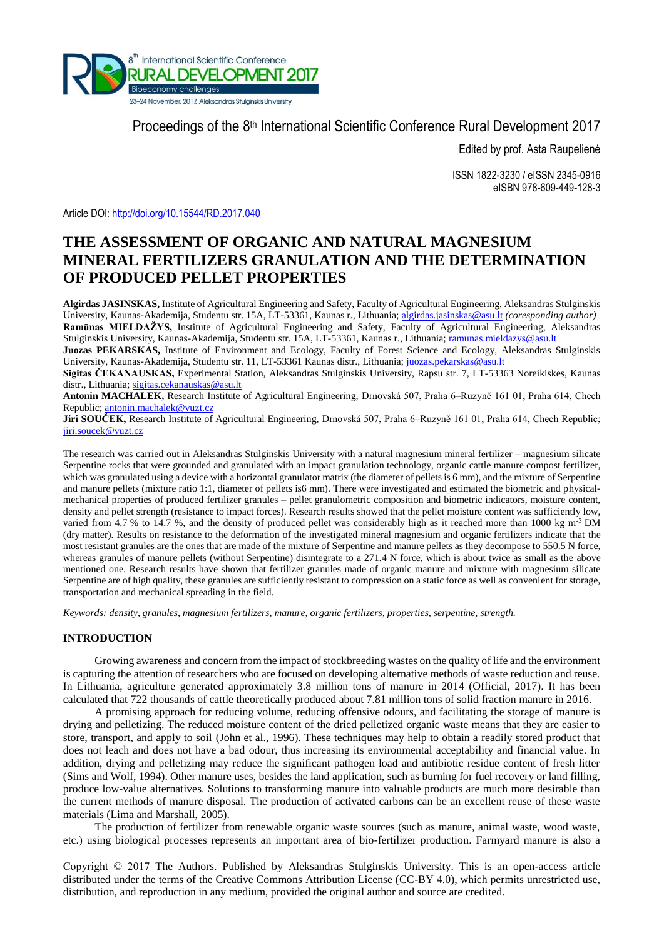

Proceedings of the 8<sup>th</sup> International Scientific Conference Rural Development 2017

Edited by prof. Asta Raupelienė

ISSN 1822-3230 / eISSN 2345-0916 eISBN 978-609-449-128-3

Article DOI:<http://doi.org/10.15544/RD.2017.040>

# **THE ASSESSMENT OF ORGANIC AND NATURAL MAGNESIUM MINERAL FERTILIZERS GRANULATION AND THE DETERMINATION OF PRODUCED PELLET PROPERTIES**

**Algirdas JASINSKAS,** Institute of Agricultural Engineering and Safety, Faculty of Agricultural Engineering, Aleksandras Stulginskis University, Kaunas-Akademija, Studentu str. 15A, LT-53361, Kaunas r., Lithuania; [algirdas.jasinskas@asu.lt](mailto:algirdas.jasinskas@asu.lt) *(coresponding author)* **Ramūnas MIELDAŽYS,** Institute of Agricultural Engineering and Safety, Faculty of Agricultural Engineering, Aleksandras Stulginskis University, Kaunas-Akademija, Studentu str. 15A, LT-53361, Kaunas r., Lithuania[; ramunas.mieldazys@asu.lt](mailto:ramunas.mieldazys@asu.lt)

**Juozas PEKARSKAS,** Institute of Environment and Ecology, Faculty of Forest Science and Ecology, Aleksandras Stulginskis University, Kaunas-Akademija, Studentu str. 11, LT-53361 Kaunas distr., Lithuania[; juozas.pekarskas@asu.lt](mailto:juozas.pekarskas@asu.lt)

**Sigitas ČEKANAUSKAS,** Experimental Station, Aleksandras Stulginskis University, Rapsu str. 7, LT-53363 Noreikiskes, Kaunas distr., Lithuania[; sigitas.cekanauskas@asu.lt](mailto:sigitas.cekanauskas@asu.lt)

**Antonin MACHALEK,** Research Institute of Agricultural Engineering, Drnovská 507, Praha 6–Ruzyně 161 01, Praha 614, Chech Republic; [antonin.machalek@vuzt.cz](mailto:antonin.machalek@vuzt.cz)

**Jiri SOUČEK,** Research Institute of Agricultural Engineering, Drnovská 507, Praha 6–Ruzyně 161 01, Praha 614, Chech Republic; [jiri.soucek@vuzt.cz](mailto:jiri.soucek@vuzt.cz)

The research was carried out in Aleksandras Stulginskis University with a natural magnesium mineral fertilizer – magnesium silicate Serpentine rocks that were grounded and granulated with an impact granulation technology, organic cattle manure compost fertilizer, which was granulated using a device with a horizontal granulator matrix (the diameter of pellets is 6 mm), and the mixture of Serpentine and manure pellets (mixture ratio 1:1, diameter of pellets is6 mm). There were investigated and estimated the biometric and physicalmechanical properties of produced fertilizer granules – pellet granulometric composition and biometric indicators, moisture content, density and pellet strength (resistance to impact forces). Research results showed that the pellet moisture content was sufficiently low, varied from 4.7 % to 14.7 %, and the density of produced pellet was considerably high as it reached more than 1000 kg m<sup>-3</sup> DM (dry matter). Results on resistance to the deformation of the investigated mineral magnesium and organic fertilizers indicate that the most resistant granules are the ones that are made of the mixture of Serpentine and manure pellets as they decompose to 550.5 N force, whereas granules of manure pellets (without Serpentine) disintegrate to a 271.4 N force, which is about twice as small as the above mentioned one. Research results have shown that fertilizer granules made of organic manure and mixture with magnesium silicate Serpentine are of high quality, these granules are sufficiently resistant to compression on a static force as well as convenient for storage, transportation and mechanical spreading in the field.

*Keywords: density, granules, magnesium fertilizers, manure, organic fertilizers, properties, serpentine, strength.* 

### **INTRODUCTION**

Growing awareness and concern from the impact of stockbreeding wastes on the quality of life and the environment is capturing the attention of researchers who are focused on developing alternative methods of waste reduction and reuse. In Lithuania, agriculture generated approximately 3.8 million tons of manure in 2014 (Official, 2017). It has been calculated that 722 thousands of cattle theoretically produced about 7.81 million tons of solid fraction manure in 2016.

A promising approach for reducing volume, reducing offensive odours, and facilitating the storage of manure is drying and pelletizing. The reduced moisture content of the dried pelletized organic waste means that they are easier to store, transport, and apply to soil (John et al., 1996). These techniques may help to obtain a readily stored product that does not leach and does not have a bad odour, thus increasing its environmental acceptability and financial value. In addition, drying and pelletizing may reduce the significant pathogen load and antibiotic residue content of fresh litter (Sims and Wolf, 1994). Other manure uses, besides the land application, such as burning for fuel recovery or land filling, produce low-value alternatives. Solutions to transforming manure into valuable products are much more desirable than the current methods of manure disposal. The production of activated carbons can be an excellent reuse of these waste materials (Lima and Marshall, 2005).

The production of fertilizer from renewable organic waste sources (such as manure, animal waste, wood waste, etc.) using biological processes represents an important area of bio-fertilizer production. Farmyard manure is also a

Copyright © 2017 The Authors. Published by Aleksandras Stulginskis University. This is an open-access article distributed under the terms of the Creative Commons Attribution License (CC-BY 4.0), which permits unrestricted use, distribution, and reproduction in any medium, provided the original author and source are credited.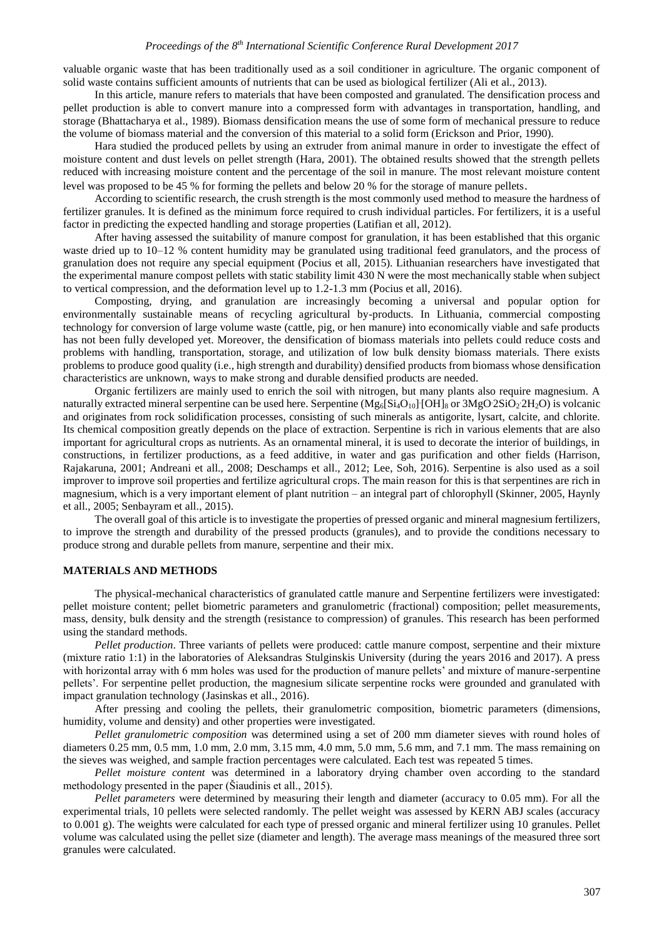#### *Proceedings of the 8 th International Scientific Conference Rural Development 2017*

valuable organic waste that has been traditionally used as a soil conditioner in agriculture. The organic component of solid waste contains sufficient amounts of nutrients that can be used as biological fertilizer (Ali et al., 2013).

In this article, manure refers to materials that have been composted and granulated. The densification process and pellet production is able to convert manure into a compressed form with advantages in transportation, handling, and storage (Bhattacharya et al., 1989). Biomass densification means the use of some form of mechanical pressure to reduce the volume of biomass material and the conversion of this material to a solid form (Erickson and Prior, 1990).

Hara studied the produced pellets by using an extruder from animal manure in order to investigate the effect of moisture content and dust levels on pellet strength (Hara, 2001). The obtained results showed that the strength pellets reduced with increasing moisture content and the percentage of the soil in manure. The most relevant moisture content level was proposed to be 45 % for forming the pellets and below 20 % for the storage of manure pellets.

According to scientific research, the crush strength is the most commonly used method to measure the hardness of fertilizer granules. It is defined as the minimum force required to crush individual particles. For fertilizers, it is a useful factor in predicting the expected handling and storage properties (Latifian et all, 2012).

After having assessed the suitability of manure compost for granulation, it has been established that this organic waste dried up to 10–12 % content humidity may be granulated using traditional feed granulators, and the process of granulation does not require any special equipment (Pocius et all, 2015). Lithuanian researchers have investigated that the experimental manure compost pellets with static stability limit 430 N were the most mechanically stable when subject to vertical compression, and the deformation level up to 1.2-1.3 mm (Pocius et all, 2016).

Composting, drying, and granulation are increasingly becoming a universal and popular option for environmentally sustainable means of recycling agricultural by-products. In Lithuania, commercial composting technology for conversion of large volume waste (cattle, pig, or hen manure) into economically viable and safe products has not been fully developed yet. Moreover, the densification of biomass materials into pellets could reduce costs and problems with handling, transportation, storage, and utilization of low bulk density biomass materials. There exists problems to produce good quality (i.e., high strength and durability) densified products from biomass whose densification characteristics are unknown, ways to make strong and durable densified products are needed.

Organic fertilizers are mainly used to enrich the soil with nitrogen, but many plants also require magnesium. A naturally extracted mineral serpentine can be used here. Serpentine  $(Mg_6[Si_4O_{10}][OH]_8$  or  $3MgO2SiO_22H_2O$ ) is volcanic and originates from rock solidification processes, consisting of such minerals as antigorite, lysart, calcite, and chlorite. Its chemical composition greatly depends on the place of extraction. Serpentine is rich in various elements that are also important for agricultural crops as nutrients. As an ornamental mineral, it is used to decorate the interior of buildings, in constructions, in fertilizer productions, as a feed additive, in water and gas purification and other fields (Harrison, Rajakaruna, 2001; Andreani et all., 2008; Deschamps et all., 2012; Lee, Soh, 2016). Serpentine is also used as a soil improver to improve soil properties and fertilize agricultural crops. The main reason for this is that serpentines are rich in magnesium, which is a very important element of plant nutrition – an integral part of chlorophyll (Skinner, 2005, Haynly et all., 2005; Senbayram et all., 2015).

The overall goal of this article is to investigate the properties of pressed organic and mineral magnesium fertilizers, to improve the strength and durability of the pressed products (granules), and to provide the conditions necessary to produce strong and durable pellets from manure, serpentine and their mix.

### **MATERIALS AND METHODS**

The physical-mechanical characteristics of granulated cattle manure and Serpentine fertilizers were investigated: pellet moisture content; pellet biometric parameters and granulometric (fractional) composition; pellet measurements, mass, density, bulk density and the strength (resistance to compression) of granules. This research has been performed using the standard methods.

*Pellet production*. Three variants of pellets were produced: cattle manure compost, serpentine and their mixture (mixture ratio 1:1) in the laboratories of Aleksandras Stulginskis University (during the years 2016 and 2017). A press with horizontal array with 6 mm holes was used for the production of manure pellets' and mixture of manure-serpentine pellets'. For serpentine pellet production, the magnesium silicate serpentine rocks were grounded and granulated with impact granulation technology (Jasinskas et all., 2016).

After pressing and cooling the pellets, their granulometric composition, biometric parameters (dimensions, humidity, volume and density) and other properties were investigated.

*Pellet granulometric composition* was determined using a set of 200 mm diameter sieves with round holes of diameters 0.25 mm, 0.5 mm, 1.0 mm, 2.0 mm, 3.15 mm, 4.0 mm, 5.0 mm, 5.6 mm, and 7.1 mm. The mass remaining on the sieves was weighed, and sample fraction percentages were calculated. Each test was repeated 5 times.

*Pellet moisture content* was determined in a laboratory drying chamber oven according to the standard methodology presented in the paper (Šiaudinis et all., 2015).

*Pellet parameters* were determined by measuring their length and diameter (accuracy to 0.05 mm). For all the experimental trials, 10 pellets were selected randomly. The pellet weight was assessed by KERN ABJ scales (accuracy to 0.001 g). The weights were calculated for each type of pressed organic and mineral fertilizer using 10 granules. Pellet volume was calculated using the pellet size (diameter and length). The average mass meanings of the measured three sort granules were calculated.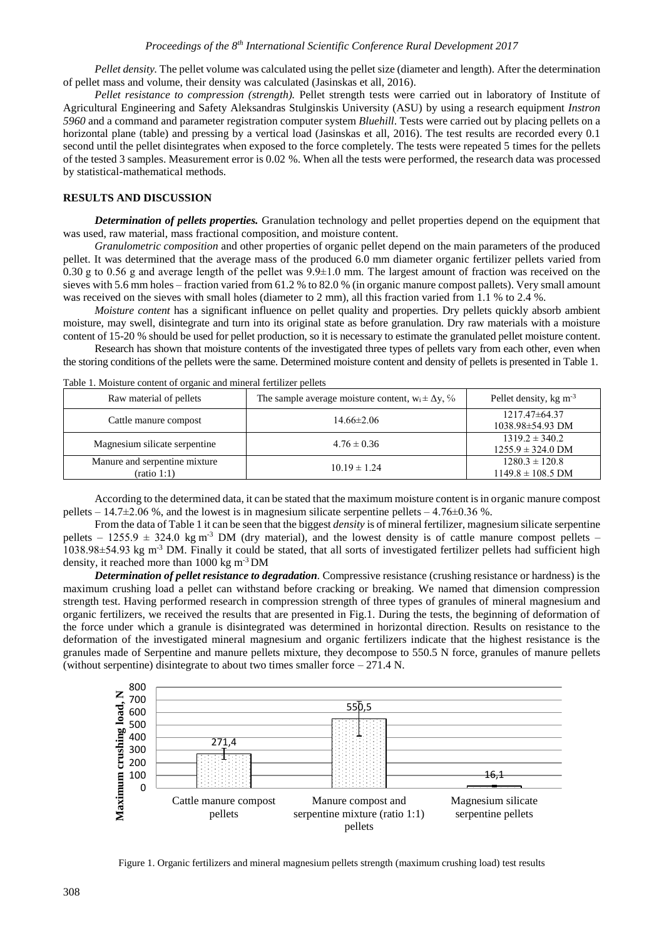## *Proceedings of the 8th International Scientific Conference Rural Development 2017*

*Pellet density.* The pellet volume was calculated using the pellet size (diameter and length). After the determination of pellet mass and volume, their density was calculated (Jasinskas et all, 2016).

*Pellet resistance to compression (strength).* Pellet strength tests were carried out in laboratory of Institute of Agricultural Engineering and Safety Aleksandras Stulginskis University (ASU) by using a research equipment *Instron 5960* and a command and parameter registration computer system *Bluehill*. Tests were carried out by placing pellets on a horizontal plane (table) and pressing by a vertical load (Jasinskas et all, 2016). The test results are recorded every 0.1 second until the pellet disintegrates when exposed to the force completely. The tests were repeated 5 times for the pellets of the tested 3 samples. Measurement error is 0.02 %. When all the tests were performed, the research data was processed by statistical-mathematical methods.

## **RESULTS AND DISCUSSION**

*Determination of pellets properties.* Granulation technology and pellet properties depend on the equipment that was used, raw material, mass fractional composition, and moisture content.

*Granulometric composition* and other properties of organic pellet depend on the main parameters of the produced pellet. It was determined that the average mass of the produced 6.0 mm diameter organic fertilizer pellets varied from 0.30 g to 0.56 g and average length of the pellet was  $9.9\pm1.0$  mm. The largest amount of fraction was received on the sieves with 5.6 mm holes – fraction varied from 61.2 % to 82.0 % (in organic manure compost pallets). Very small amount was received on the sieves with small holes (diameter to 2 mm), all this fraction varied from 1.1 % to 2.4 %.

*Moisture content* has a significant influence on pellet quality and properties. Dry pellets quickly absorb ambient moisture, may swell, disintegrate and turn into its original state as before granulation. Dry raw materials with a moisture content of 15-20 % should be used for pellet production, so it is necessary to estimate the granulated pellet moisture content.

Research has shown that moisture contents of the investigated three types of pellets vary from each other, even when the storing conditions of the pellets were the same. Determined moisture content and density of pellets is presented in Table 1.

| Raw material of pellets                      | The sample average moisture content, $w_i \pm \Delta y$ , % | Pellet density, $kg \, \text{m}^{-3}$       |
|----------------------------------------------|-------------------------------------------------------------|---------------------------------------------|
| Cattle manure compost                        | $14.66 \pm 2.06$                                            | $1217.47\pm 64.37$<br>1038.98±54.93 DM      |
| Magnesium silicate serpentine                | $4.76 \pm 0.36$                                             | $1319.2 \pm 340.2$<br>$1255.9 \pm 324.0$ DM |
| Manure and serpentine mixture<br>(ratio 1:1) | $10.19 \pm 1.24$                                            | $1280.3 \pm 120.8$<br>$1149.8 \pm 108.5$ DM |

Table 1. Moisture content of organic and mineral fertilizer pellets

According to the determined data, it can be stated that the maximum moisture content is in organic manure compost pellets – 14.7 $\pm$ 2.06 %, and the lowest is in magnesium silicate serpentine pellets – 4.76 $\pm$ 0.36 %.

From the data of Table 1 it can be seen that the biggest *density* is of mineral fertilizer, magnesium silicate serpentine pellets – 1255.9  $\pm$  324.0 kg m<sup>-3</sup> DM (dry material), and the lowest density is of cattle manure compost pellets – 1038.98±54.93 kg m-3 DM. Finally it could be stated, that all sorts of investigated fertilizer pellets had sufficient high density, it reached more than 1000 kg m-3 DM

*Determination of pellet resistance to degradation.* Compressive resistance (crushing resistance or hardness) is the maximum crushing load a pellet can withstand before cracking or breaking. We named that dimension compression strength test. Having performed research in compression strength of three types of granules of mineral magnesium and organic fertilizers, we received the results that are presented in Fig.1. During the tests, the beginning of deformation of the force under which a granule is disintegrated was determined in horizontal direction. Results on resistance to the deformation of the investigated mineral magnesium and organic fertilizers indicate that the highest resistance is the granules made of Serpentine and manure pellets mixture, they decompose to 550.5 N force, granules of manure pellets (without serpentine) disintegrate to about two times smaller force  $-271.4$  N.



Figure 1. Organic fertilizers and mineral magnesium pellets strength (maximum crushing load) test results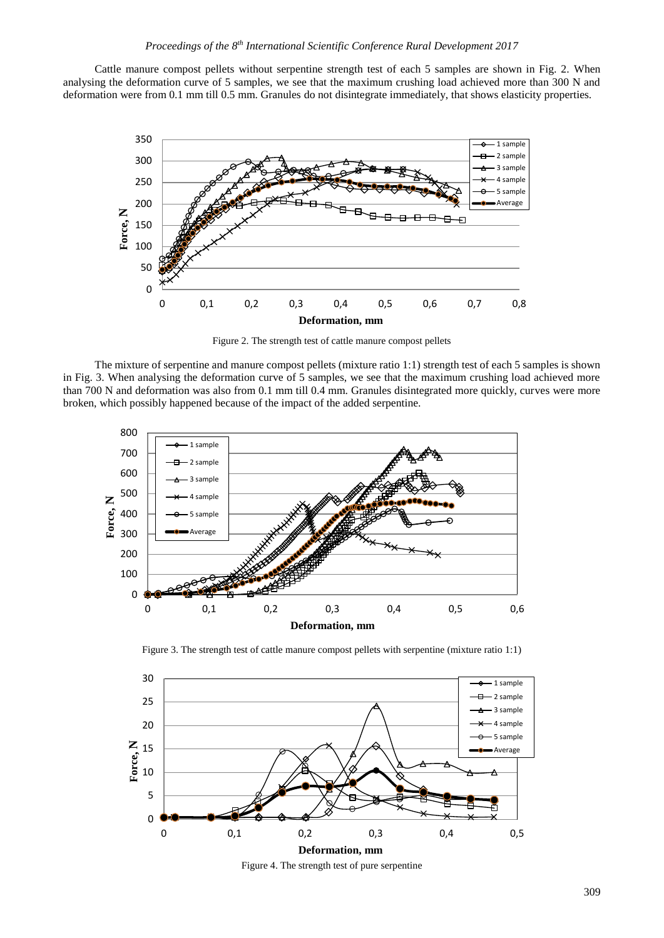Cattle manure compost pellets without serpentine strength test of each 5 samples are shown in Fig. 2. When analysing the deformation curve of 5 samples, we see that the maximum crushing load achieved more than 300 N and deformation were from 0.1 mm till 0.5 mm. Granules do not disintegrate immediately, that shows elasticity properties.



Figure 2. The strength test of cattle manure compost pellets

The mixture of serpentine and manure compost pellets (mixture ratio 1:1) strength test of each 5 samples is shown in Fig. 3. When analysing the deformation curve of 5 samples, we see that the maximum crushing load achieved more than 700 N and deformation was also from 0.1 mm till 0.4 mm. Granules disintegrated more quickly, curves were more broken, which possibly happened because of the impact of the added serpentine.



Figure 3. The strength test of cattle manure compost pellets with serpentine (mixture ratio 1:1)



Figure 4. The strength test of pure serpentine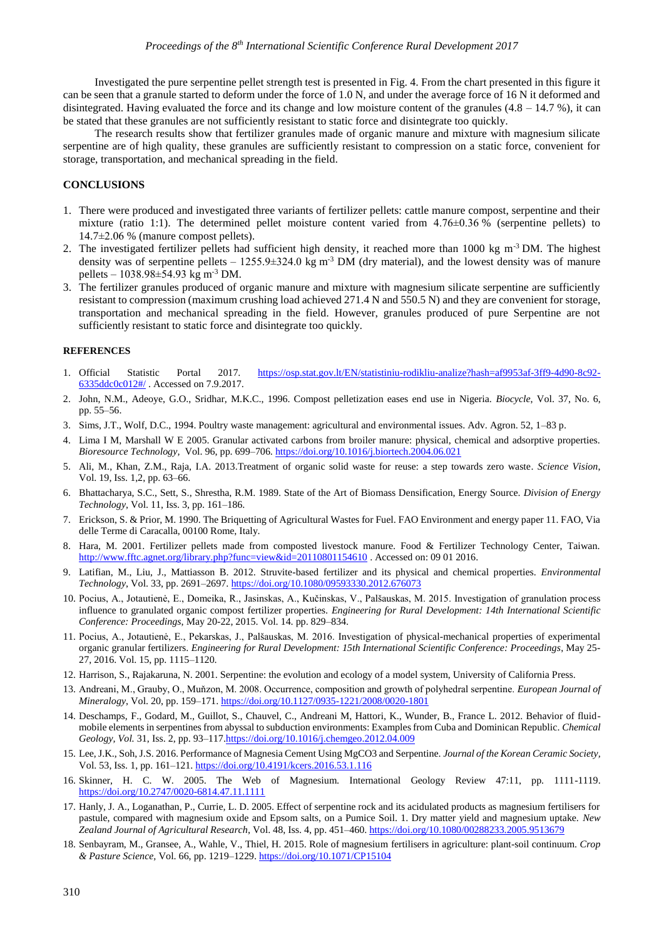Investigated the pure serpentine pellet strength test is presented in Fig. 4. From the chart presented in this figure it can be seen that a granule started to deform under the force of 1.0 N, and under the average force of 16 N it deformed and disintegrated. Having evaluated the force and its change and low moisture content of the granules  $(4.8 - 14.7 \%)$ , it can be stated that these granules are not sufficiently resistant to static force and disintegrate too quickly.

The research results show that fertilizer granules made of organic manure and mixture with magnesium silicate serpentine are of high quality, these granules are sufficiently resistant to compression on a static force, convenient for storage, transportation, and mechanical spreading in the field.

## **CONCLUSIONS**

- 1. There were produced and investigated three variants of fertilizer pellets: cattle manure compost, serpentine and their mixture (ratio 1:1). The determined pellet moisture content varied from 4.76±0.36 % (serpentine pellets) to 14.7±2.06 % (manure compost pellets).
- 2. The investigated fertilizer pellets had sufficient high density, it reached more than 1000 kg m<sup>-3</sup> DM. The highest density was of serpentine pellets –  $1255.9 \pm 324.0$  kg m<sup>-3</sup> DM (dry material), and the lowest density was of manure pellets – 1038.98±54.93 kg m-3 DM.
- 3. The fertilizer granules produced of organic manure and mixture with magnesium silicate serpentine are sufficiently resistant to compression (maximum crushing load achieved 271.4 N and 550.5 N) and they are convenient for storage, transportation and mechanical spreading in the field. However, granules produced of pure Serpentine are not sufficiently resistant to static force and disintegrate too quickly.

#### **REFERENCES**

- 1. Official Statistic Portal 2017. [https://osp.stat.gov.lt/EN/statistiniu-rodikliu-analize?hash=af9953af-3ff9-4d90-8c92-](https://osp.stat.gov.lt/EN/statistiniu-rodikliu-analize?hash=af9953af-3ff9-4d90-8c92-6335ddc0c012#/) [6335ddc0c012#/](https://osp.stat.gov.lt/EN/statistiniu-rodikliu-analize?hash=af9953af-3ff9-4d90-8c92-6335ddc0c012#/) . Accessed on 7.9.2017.
- 2. John, N.M., Adeoye, G.O., Sridhar, M.K.C., 1996. Compost pelletization eases end use in Nigeria. *Biocycle*, Vol. 37, No. 6, pp. 55–56.
- 3. Sims, J.T., Wolf, D.C., 1994. Poultry waste management: agricultural and environmental issues. Adv. Agron. 52, 1–83 p.
- 4. Lima I M, Marshall W E 2005. Granular activated carbons from broiler manure: physical, chemical and adsorptive properties. *Bioresource Technology,* Vol. 96, pp. 699–706. <https://doi.org/10.1016/j.biortech.2004.06.021>
- 5. Ali, M., Khan, Z.M., Raja, I.A. 2013.Treatment of organic solid waste for reuse: a step towards zero waste. *Science Vision*, Vol. 19, Iss. 1,2, pp. 63–66.
- 6. Bhattacharya, S.C., Sett, S., Shrestha, R.M. 1989. State of the Art of Biomass Densification, Energy Source. *Division of Energy Technology*, Vol. 11, Iss. 3, pp. 161–186.
- 7. Erickson, S. & Prior, M. 1990. The Briquetting of Agricultural Wastes for Fuel. FAO Environment and energy paper 11. FAO, Via delle Terme di Caracalla, 00100 Rome, Italy.
- 8. Hara, M. 2001. Fertilizer pellets made from composted livestock manure. Food & Fertilizer Technology Center, Taiwan. <http://www.fftc.agnet.org/library.php?func=view&id=20110801154610> . Accessed on: 09 01 2016.
- 9. Latifian, M., Liu, J., Mattiasson B. 2012. Struvite-based fertilizer and its physical and chemical properties. *Environmental Technology*, Vol. 33, pp. 2691–2697[. https://doi.org/10.1080/09593330.2012.676073](https://doi.org/10.1080/09593330.2012.676073)
- 10. Pocius, A., Jotautienė, E., Domeika, R., Jasinskas, A., Kučinskas, V., Palšauskas, M. 2015. Investigation of granulation process influence to granulated organic compost fertilizer properties. *Engineering for Rural Development: 14th International Scientific Conference: Proceedings*, May 20-22, 2015. Vol. 14. pp. 829–834.
- 11. Pocius, A., Jotautienė, E., Pekarskas, J., Palšauskas, M. 2016. Investigation of physical-mechanical properties of experimental organic granular fertilizers. *Engineering for Rural Development: 15th International Scientific Conference: Proceedings*, May 25- 27, 2016. Vol. 15, pp. 1115–1120.
- 12. Harrison, S., Rajakaruna, N. 2001. Serpentine: the evolution and ecology of a model system, University of California Press.
- 13. Andreani, M., Grauby, O., Muňzon, M. 2008. Occurrence, composition and growth of polyhedral serpentine. *European Journal of Mineralogy*, Vol. 20, pp. 159–171. <https://doi.org/10.1127/0935-1221/2008/0020-1801>
- 14. Deschamps, F., Godard, M., Guillot, S., Chauvel, C., Andreani M, Hattori, K., Wunder, B., France L. 2012. Behavior of fluidmobile elements in serpentines from abyssal to subduction environments: Examples from Cuba and Dominican Republic. *Chemical Geology, Vol.* 31, Iss. 2, pp. 93–11[7.https://doi.org/10.1016/j.chemgeo.2012.04.009](https://doi.org/10.1016/j.chemgeo.2012.04.009)
- 15. Lee, J.K., Soh, J.S. 2016. Performance of Magnesia Cement Using MgCO3 and Serpentine. *Journal of the Korean Ceramic Society,* Vol. 53, Iss. 1, pp. 161–121. <https://doi.org/10.4191/kcers.2016.53.1.116>
- 16. Skinner, H. C. W. 2005. The Web of Magnesium. International Geology Review 47:11, pp. 1111-1119. <https://doi.org/10.2747/0020-6814.47.11.1111>
- 17. Hanly, J. A., Loganathan, P., Currie, L. D. 2005. Effect of serpentine rock and its acidulated products as magnesium fertilisers for pastule, compared with magnesium oxide and Epsom salts, on a Pumice Soil. 1. Dry matter yield and magnesium uptake. *New Zealand Journal of Agricultural Research*, Vol. 48, Iss. 4, pp. 451–460. <https://doi.org/10.1080/00288233.2005.9513679>
- 18. Senbayram, M., Gransee, A., Wahle, V., Thiel, H. 2015. Role of magnesium fertilisers in agriculture: plant-soil continuum. *Crop & Pasture Science,* Vol. 66, pp. 1219–1229. <https://doi.org/10.1071/CP15104>